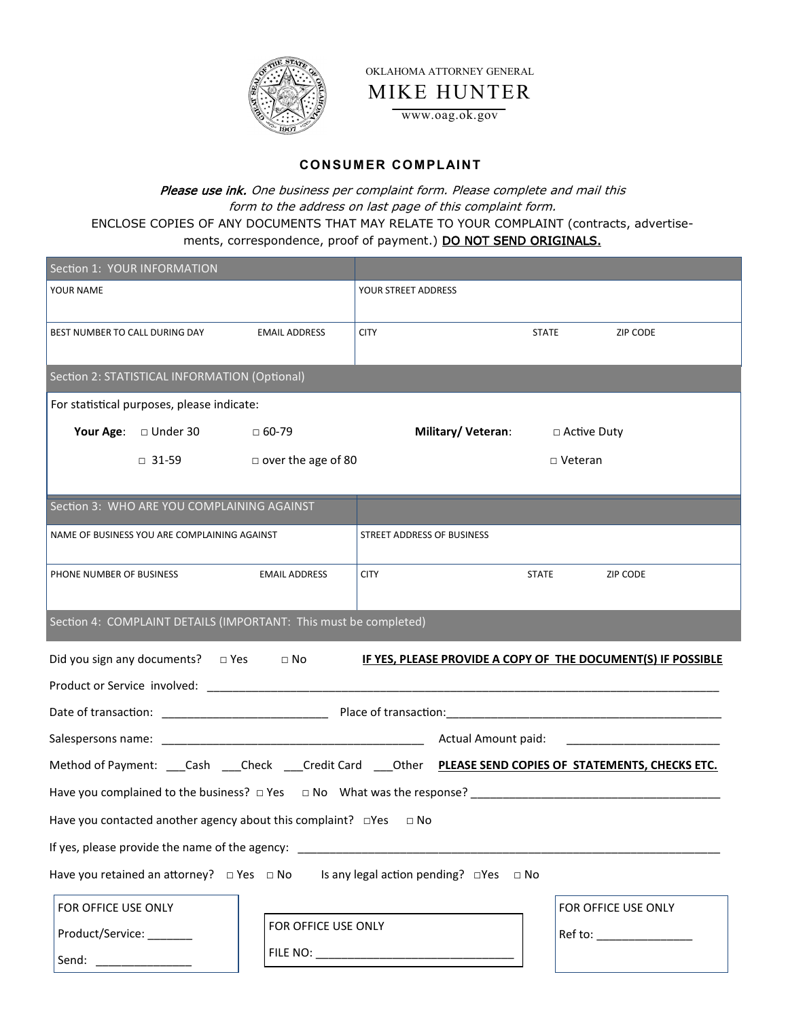

OKLAHOMA ATTORNEY GENERAL

MIKE HUNTER

www.oag.ok.gov

## **CONSUM ER COM PLAINT**

Please use ink. One business per complaint form. Please complete and mail this form to the address on last page of this complaint form. ENCLOSE COPIES OF ANY DOCUMENTS THAT MAY RELATE TO YOUR COMPLAINT (contracts, advertisements, correspondence, proof of payment.) DO NOT SEND ORIGINALS.

| Section 1: YOUR INFORMATION                                                                               |                                        |                                   |              |                               |  |
|-----------------------------------------------------------------------------------------------------------|----------------------------------------|-----------------------------------|--------------|-------------------------------|--|
| YOUR NAME                                                                                                 |                                        | YOUR STREET ADDRESS               |              |                               |  |
| BEST NUMBER TO CALL DURING DAY                                                                            | <b>EMAIL ADDRESS</b>                   | <b>CITY</b>                       | <b>STATE</b> | <b>ZIP CODE</b>               |  |
| Section 2: STATISTICAL INFORMATION (Optional)                                                             |                                        |                                   |              |                               |  |
| For statistical purposes, please indicate:                                                                |                                        |                                   |              |                               |  |
| Your Age: □ Under 30                                                                                      | □ 60-79                                |                                   |              |                               |  |
|                                                                                                           | $\Box$ 31-59 $\Box$ over the age of 80 | $\Box$ Veteran                    |              |                               |  |
|                                                                                                           |                                        |                                   |              |                               |  |
| Section 3: WHO ARE YOU COMPLAINING AGAINST                                                                |                                        |                                   |              |                               |  |
| NAME OF BUSINESS YOU ARE COMPLAINING AGAINST                                                              |                                        | <b>STREET ADDRESS OF BUSINESS</b> |              |                               |  |
| PHONE NUMBER OF BUSINESS                                                                                  | <b>EMAIL ADDRESS</b>                   | <b>CITY</b>                       | <b>STATE</b> | ZIP CODE                      |  |
|                                                                                                           |                                        |                                   |              |                               |  |
| Section 4: COMPLAINT DETAILS (IMPORTANT: This must be completed)                                          |                                        |                                   |              |                               |  |
| Did you sign any documents? □ Yes □ No<br>IF YES, PLEASE PROVIDE A COPY OF THE DOCUMENT(S) IF POSSIBLE    |                                        |                                   |              |                               |  |
|                                                                                                           |                                        |                                   |              |                               |  |
|                                                                                                           |                                        |                                   |              |                               |  |
|                                                                                                           |                                        |                                   |              |                               |  |
| Method of Payment: ___Cash ___Check ___Credit Card ___Other PLEASE SEND COPIES OF STATEMENTS, CHECKS ETC. |                                        |                                   |              |                               |  |
|                                                                                                           |                                        |                                   |              |                               |  |
| Have you contacted another agency about this complaint? $\Box$ Yes $\Box$ No                              |                                        |                                   |              |                               |  |
| If yes, please provide the name of the agency: _________________________________                          |                                        |                                   |              |                               |  |
| Have you retained an attorney?  □ Yes  □ No  Is any legal action pending?  □ Yes □ No                     |                                        |                                   |              |                               |  |
| FOR OFFICE USE ONLY                                                                                       |                                        |                                   |              | FOR OFFICE USE ONLY           |  |
| Product/Service: _______                                                                                  | FOR OFFICE USE ONLY                    |                                   |              | Ref to: _____________________ |  |
| Send: ________________                                                                                    |                                        |                                   |              |                               |  |